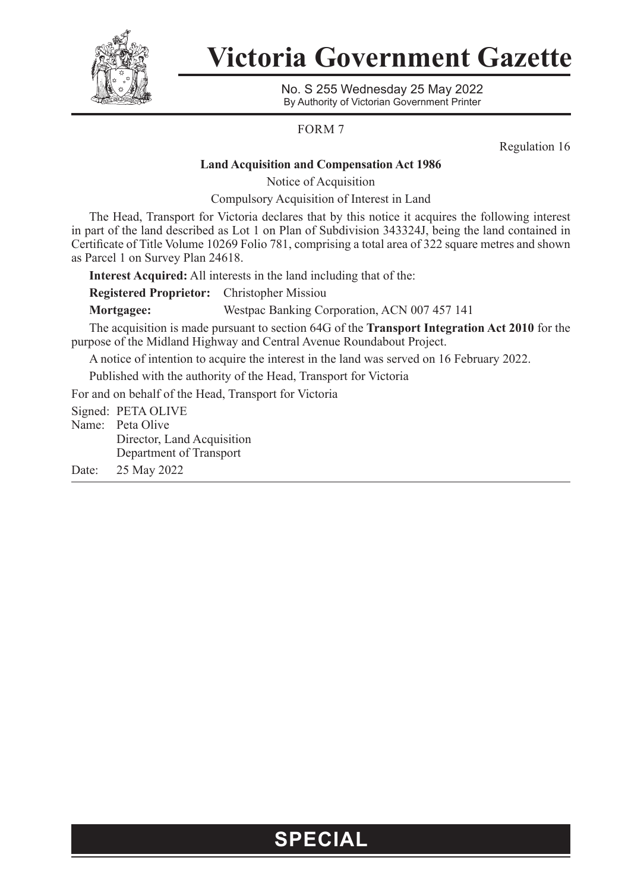

## **Victoria Government Gazette**

No. S 255 Wednesday 25 May 2022 By Authority of Victorian Government Printer

FORM 7

Regulation 16

#### **Land Acquisition and Compensation Act 1986**

Notice of Acquisition

Compulsory Acquisition of Interest in Land

The Head, Transport for Victoria declares that by this notice it acquires the following interest in part of the land described as Lot 1 on Plan of Subdivision 343324J, being the land contained in Certificate of Title Volume 10269 Folio 781, comprising a total area of 322 square metres and shown as Parcel 1 on Survey Plan 24618.

**Interest Acquired:** All interests in the land including that of the:

**Registered Proprietor:** Christopher Missiou

**Mortgagee:** Westpac Banking Corporation, ACN 007 457 141

The acquisition is made pursuant to section 64G of the **Transport Integration Act 2010** for the purpose of the Midland Highway and Central Avenue Roundabout Project.

A notice of intention to acquire the interest in the land was served on 16 February 2022.

Published with the authority of the Head, Transport for Victoria

For and on behalf of the Head, Transport for Victoria

Signed: PETA OLIVE Name: Peta Olive Director, Land Acquisition Department of Transport

Date: 25 May 2022

### **SPECIAL**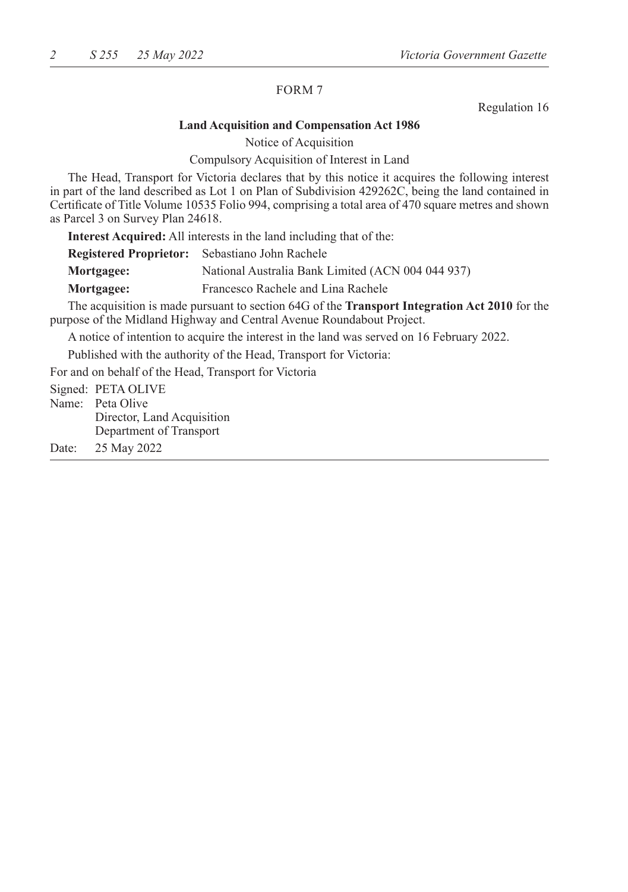#### FORM 7

Regulation 16

#### **Land Acquisition and Compensation Act 1986**

Notice of Acquisition

Compulsory Acquisition of Interest in Land

The Head, Transport for Victoria declares that by this notice it acquires the following interest in part of the land described as Lot 1 on Plan of Subdivision 429262C, being the land contained in Certificate of Title Volume 10535 Folio 994, comprising a total area of 470 square metres and shown as Parcel 3 on Survey Plan 24618.

**Interest Acquired:** All interests in the land including that of the:

**Registered Proprietor:** Sebastiano John Rachele

**Mortgagee:** National Australia Bank Limited (ACN 004 044 937)

**Mortgagee:** Francesco Rachele and Lina Rachele

The acquisition is made pursuant to section 64G of the **Transport Integration Act 2010** for the purpose of the Midland Highway and Central Avenue Roundabout Project.

A notice of intention to acquire the interest in the land was served on 16 February 2022.

Published with the authority of the Head, Transport for Victoria:

For and on behalf of the Head, Transport for Victoria

Signed: PETA OLIVE Name: Peta Olive Director, Land Acquisition Department of Transport

Date: 25 May 2022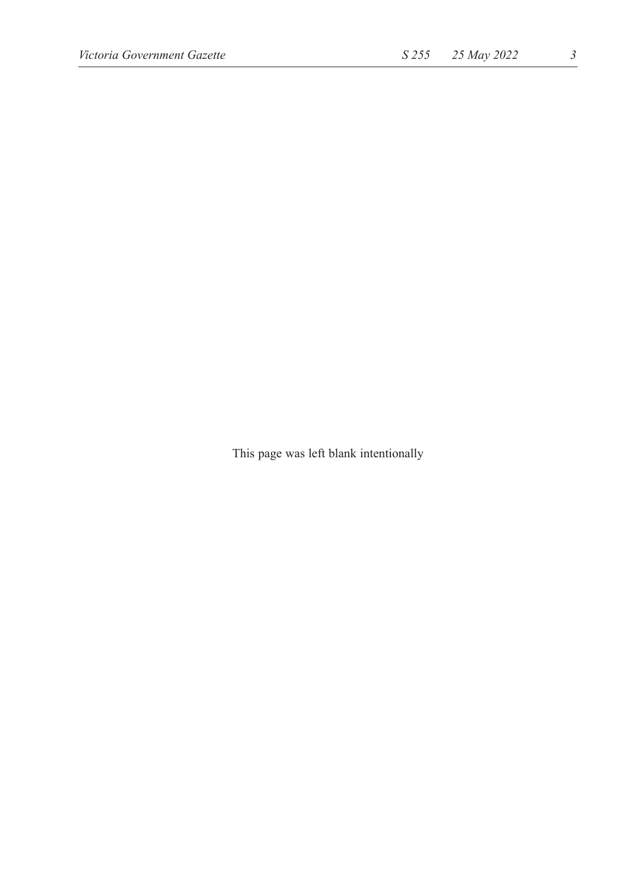This page was left blank intentionally